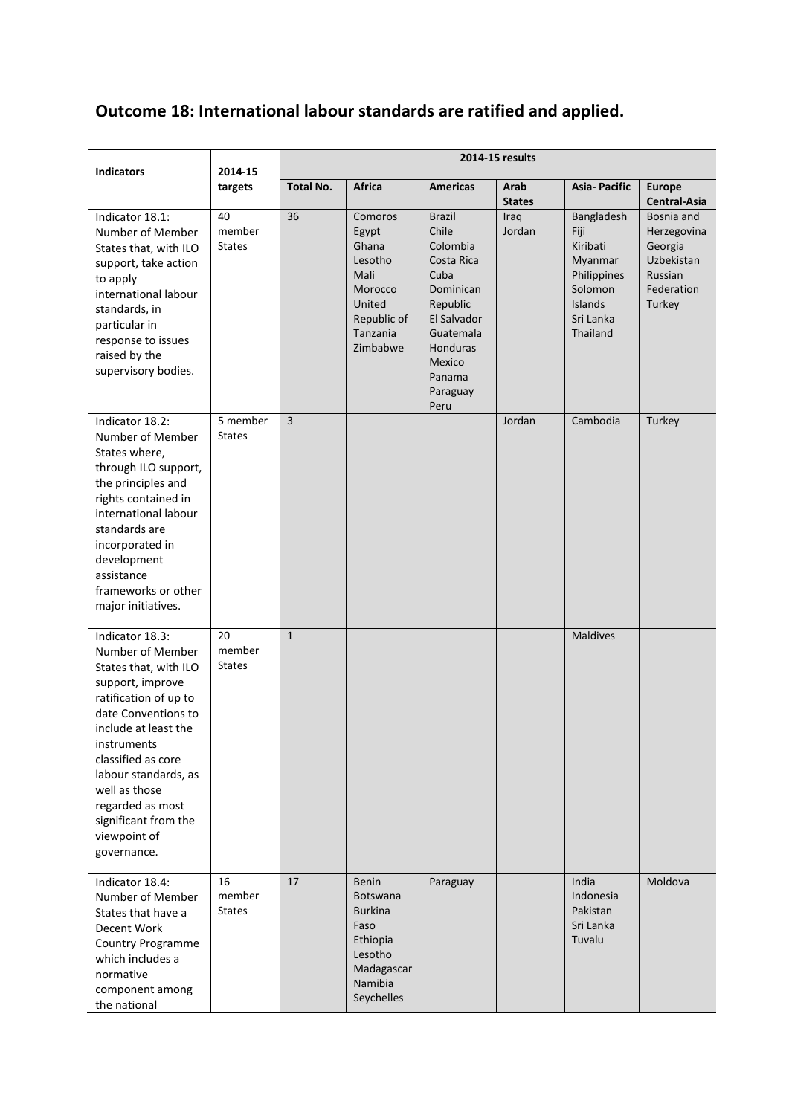## **Outcome 18: International labour standards are ratified and applied.**

| <b>Indicators</b>                                                                                                                                                                                                                                                                                                 | 2014-15<br>targets            | 2014-15 results  |                                                                                                                         |                                                                                                                                                                          |                       |                                                                                                         |                                                                                       |
|-------------------------------------------------------------------------------------------------------------------------------------------------------------------------------------------------------------------------------------------------------------------------------------------------------------------|-------------------------------|------------------|-------------------------------------------------------------------------------------------------------------------------|--------------------------------------------------------------------------------------------------------------------------------------------------------------------------|-----------------------|---------------------------------------------------------------------------------------------------------|---------------------------------------------------------------------------------------|
|                                                                                                                                                                                                                                                                                                                   |                               | <b>Total No.</b> | <b>Africa</b>                                                                                                           | <b>Americas</b>                                                                                                                                                          | Arab<br><b>States</b> | <b>Asia-Pacific</b>                                                                                     | <b>Europe</b><br>Central-Asia                                                         |
| Indicator 18.1:<br>Number of Member<br>States that, with ILO<br>support, take action<br>to apply<br>international labour<br>standards, in<br>particular in<br>response to issues<br>raised by the<br>supervisory bodies.                                                                                          | 40<br>member<br><b>States</b> | 36               | Comoros<br>Egypt<br>Ghana<br>Lesotho<br>Mali<br>Morocco<br>United<br>Republic of<br>Tanzania<br>Zimbabwe                | <b>Brazil</b><br>Chile<br>Colombia<br>Costa Rica<br>Cuba<br>Dominican<br>Republic<br><b>El Salvador</b><br>Guatemala<br>Honduras<br>Mexico<br>Panama<br>Paraguay<br>Peru | Iraq<br>Jordan        | Bangladesh<br>Fiji<br>Kiribati<br>Myanmar<br>Philippines<br>Solomon<br>Islands<br>Sri Lanka<br>Thailand | Bosnia and<br>Herzegovina<br>Georgia<br>Uzbekistan<br>Russian<br>Federation<br>Turkey |
| Indicator 18.2:<br>Number of Member<br>States where,<br>through ILO support,<br>the principles and<br>rights contained in<br>international labour<br>standards are<br>incorporated in<br>development<br>assistance<br>frameworks or other<br>major initiatives.                                                   | 5 member<br><b>States</b>     | $\overline{3}$   |                                                                                                                         |                                                                                                                                                                          | Jordan                | Cambodia                                                                                                | Turkey                                                                                |
| Indicator 18.3:<br>Number of Member<br>States that, with ILO<br>support, improve<br>ratification of up to<br>date Conventions to<br>include at least the<br>instruments<br>classified as core<br>labour standards, as<br>well as those<br>regarded as most<br>significant from the<br>viewpoint of<br>governance. | 20<br>member<br><b>States</b> | $\mathbf{1}$     |                                                                                                                         |                                                                                                                                                                          |                       | Maldives                                                                                                |                                                                                       |
| Indicator 18.4:<br>Number of Member<br>States that have a<br>Decent Work<br>Country Programme<br>which includes a<br>normative<br>component among<br>the national                                                                                                                                                 | 16<br>member<br><b>States</b> | 17               | <b>Benin</b><br><b>Botswana</b><br><b>Burkina</b><br>Faso<br>Ethiopia<br>Lesotho<br>Madagascar<br>Namibia<br>Seychelles | Paraguay                                                                                                                                                                 |                       | India<br>Indonesia<br>Pakistan<br>Sri Lanka<br>Tuvalu                                                   | Moldova                                                                               |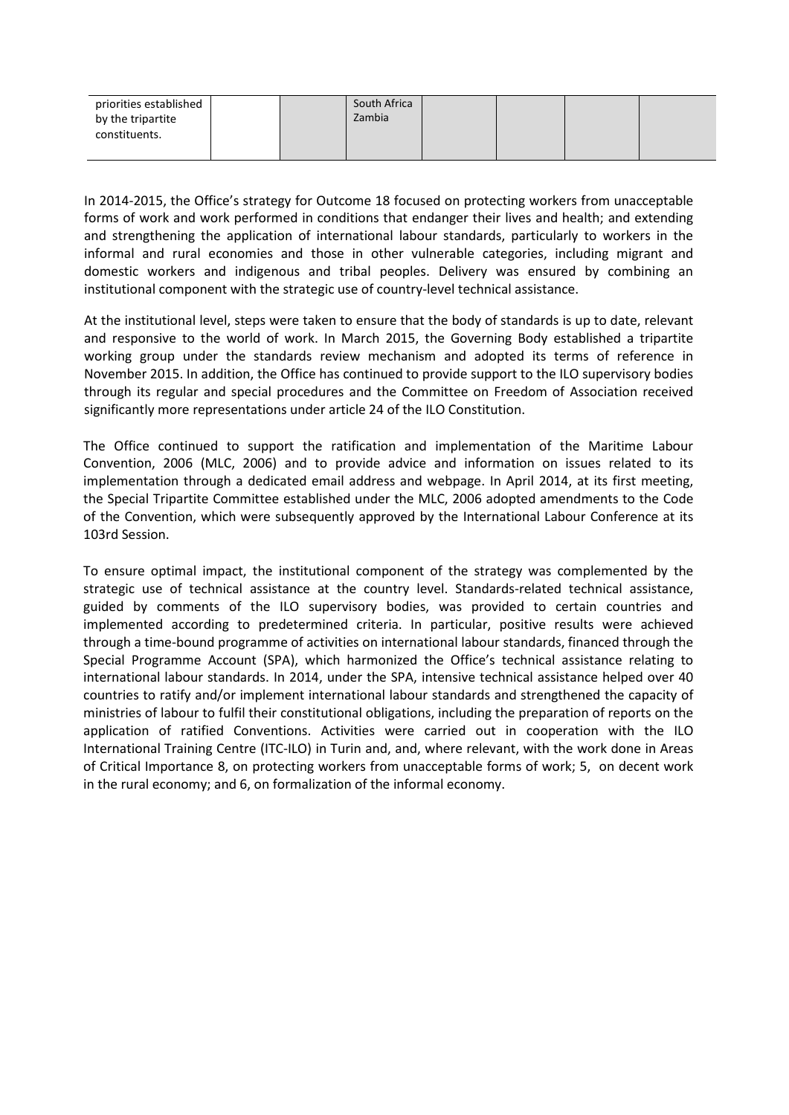| priorities established |  | South Africa |  |  |
|------------------------|--|--------------|--|--|
| by the tripartite      |  | Zambia       |  |  |
| constituents.          |  |              |  |  |
|                        |  |              |  |  |

In 2014-2015, the Office's strategy for Outcome 18 focused on protecting workers from unacceptable forms of work and work performed in conditions that endanger their lives and health; and extending and strengthening the application of international labour standards, particularly to workers in the informal and rural economies and those in other vulnerable categories, including migrant and domestic workers and indigenous and tribal peoples. Delivery was ensured by combining an institutional component with the strategic use of country-level technical assistance.

At the institutional level, steps were taken to ensure that the body of standards is up to date, relevant and responsive to the world of work. In March 2015, the Governing Body established a tripartite working group under the standards review mechanism and adopted its terms of reference in November 2015. In addition, the Office has continued to provide support to the ILO supervisory bodies through its regular and special procedures and the Committee on Freedom of Association received significantly more representations under article 24 of the ILO Constitution.

The Office continued to support the ratification and implementation of the Maritime Labour Convention, 2006 (MLC, 2006) and to provide advice and information on issues related to its implementation through a dedicated email address and webpage. In April 2014, at its first meeting, the Special Tripartite Committee established under the MLC, 2006 adopted amendments to the Code of the Convention, which were subsequently approved by the International Labour Conference at its 103rd Session.

To ensure optimal impact, the institutional component of the strategy was complemented by the strategic use of technical assistance at the country level. Standards-related technical assistance, guided by comments of the ILO supervisory bodies, was provided to certain countries and implemented according to predetermined criteria. In particular, positive results were achieved through a time-bound programme of activities on international labour standards, financed through the Special Programme Account (SPA), which harmonized the Office's technical assistance relating to international labour standards. In 2014, under the SPA, intensive technical assistance helped over 40 countries to ratify and/or implement international labour standards and strengthened the capacity of ministries of labour to fulfil their constitutional obligations, including the preparation of reports on the application of ratified Conventions. Activities were carried out in cooperation with the ILO International Training Centre (ITC-ILO) in Turin and, and, where relevant, with the work done in Areas of Critical Importance 8, on protecting workers from unacceptable forms of work; 5, on decent work in the rural economy; and 6, on formalization of the informal economy.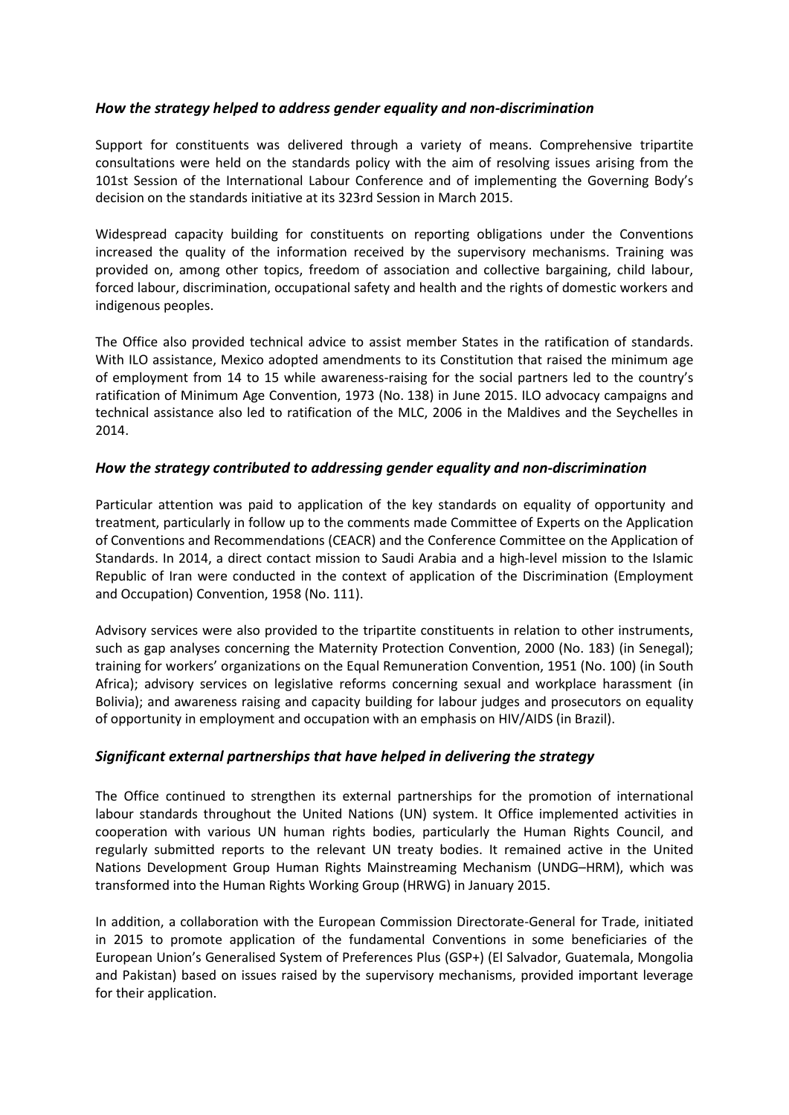## *How the strategy helped to address gender equality and non-discrimination*

Support for constituents was delivered through a variety of means. Comprehensive tripartite consultations were held on the standards policy with the aim of resolving issues arising from the 101st Session of the International Labour Conference and of implementing the Governing Body's decision on the standards initiative at its 323rd Session in March 2015.

Widespread capacity building for constituents on reporting obligations under the Conventions increased the quality of the information received by the supervisory mechanisms. Training was provided on, among other topics, freedom of association and collective bargaining, child labour, forced labour, discrimination, occupational safety and health and the rights of domestic workers and indigenous peoples.

The Office also provided technical advice to assist member States in the ratification of standards. With ILO assistance, Mexico adopted amendments to its Constitution that raised the minimum age of employment from 14 to 15 while awareness-raising for the social partners led to the country's ratification of Minimum Age Convention, 1973 (No. 138) in June 2015. ILO advocacy campaigns and technical assistance also led to ratification of the MLC, 2006 in the Maldives and the Seychelles in 2014.

## *How the strategy contributed to addressing gender equality and non-discrimination*

Particular attention was paid to application of the key standards on equality of opportunity and treatment, particularly in follow up to the comments made Committee of Experts on the Application of Conventions and Recommendations (CEACR) and the Conference Committee on the Application of Standards. In 2014, a direct contact mission to Saudi Arabia and a high-level mission to the Islamic Republic of Iran were conducted in the context of application of the Discrimination (Employment and Occupation) Convention, 1958 (No. 111).

Advisory services were also provided to the tripartite constituents in relation to other instruments, such as gap analyses concerning the Maternity Protection Convention, 2000 (No. 183) (in Senegal); training for workers' organizations on the Equal Remuneration Convention, 1951 (No. 100) (in South Africa); advisory services on legislative reforms concerning sexual and workplace harassment (in Bolivia); and awareness raising and capacity building for labour judges and prosecutors on equality of opportunity in employment and occupation with an emphasis on HIV/AIDS (in Brazil).

## *Significant external partnerships that have helped in delivering the strategy*

The Office continued to strengthen its external partnerships for the promotion of international labour standards throughout the United Nations (UN) system. It Office implemented activities in cooperation with various UN human rights bodies, particularly the Human Rights Council, and regularly submitted reports to the relevant UN treaty bodies. It remained active in the United Nations Development Group Human Rights Mainstreaming Mechanism (UNDG–HRM), which was transformed into the Human Rights Working Group (HRWG) in January 2015.

In addition, a collaboration with the European Commission Directorate-General for Trade, initiated in 2015 to promote application of the fundamental Conventions in some beneficiaries of the European Union's Generalised System of Preferences Plus (GSP+) (El Salvador, Guatemala, Mongolia and Pakistan) based on issues raised by the supervisory mechanisms, provided important leverage for their application.